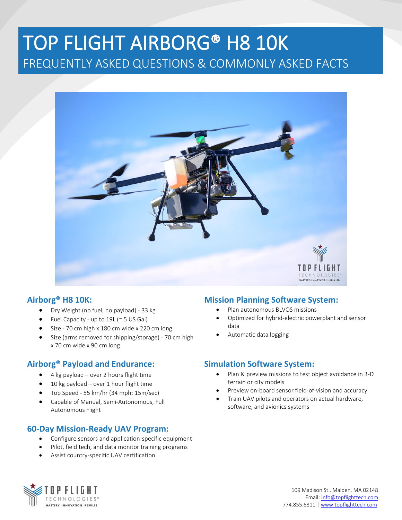# TOP FLIGHT AIRBORG® H8 10K FREQUENTLY ASKED QUESTIONS & COMMONLY ASKED FACTS



### **Airborg® H8 10K:**

- Dry Weight (no fuel, no payload) 33 kg
- Fuel Capacity up to 19L ( $\sim$  5 US Gal)
- Size 70 cm high x 180 cm wide x 220 cm long
- Size (arms removed for shipping/storage) 70 cm high x 70 cm wide x 90 cm long

## **Airborg® Payload and Endurance:**

- 4 kg payload over 2 hours flight time
- 10 kg payload over 1 hour flight time
- Top Speed 55 km/hr (34 mph; 15m/sec)
- Capable of Manual, Semi-Autonomous, Full Autonomous Flight

#### **60-Day Mission-Ready UAV Program:**

- Configure sensors and application-specific equipment
- Pilot, field tech, and data monitor training programs
- Assist country-specific UAV certification

### **Mission Planning Software System:**

- Plan autonomous BLVOS missions
- Optimized for hybrid-electric powerplant and sensor data
- Automatic data logging

#### **Simulation Software System:**

- Plan & preview missions to test object avoidance in 3-D terrain or city models
- Preview on-board sensor field-of-vision and accuracy
- Train UAV pilots and operators on actual hardware, software, and avionics systems

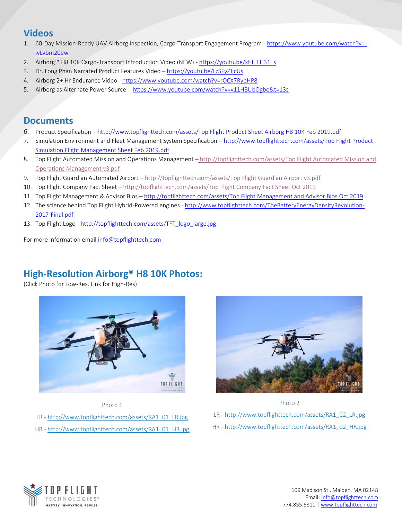# **Videos**

- 1. 60-Day Mission-Ready UAV Airborg Inspection, Cargo-Transport Engagement Program [https://www.youtube.com/watch?v=](https://www.youtube.com/watch?v=-iyLvbm20ew) [iyLvbm20ew](https://www.youtube.com/watch?v=-iyLvbm20ew)
- 2. Airborg™ H8 10K Cargo-Transport Introduction Video (NEW) [https://youtu.be/ktjHTTI31\\_s](https://youtu.be/ktjHTTI31_s?fbclid=IwAR2YK9FNnGPQBCIJHvaKczh8wpzr6UYSYJFzt18PqDVUZ8_T0jyWpj0hWsY)
- 3. Dr. Long Phan Narrated Product Features Video <https://youtu.be/LzSFyZJjcUs>
- 4. Airborg 2+ Hr Endurance Video <https://www.youtube.com/watch?v=rOCX7RypHP8>
- 5. Airborg as Alternate Power Source <https://www.youtube.com/watch?v=v11HBUbOgbo&t=13s>

### **Documents**

- 6. Product Specification [http://www.topflighttech.com/assets/Top Flight Product Sheet Airborg H8 10K](http://www.topflighttech.com/assets/Top%20Flight%20Product%20Sheet%20Airborg%20H8%2010K%20Feb%202019.pdf) Feb 2019.pdf
- 7. Simulation Environment and Fleet Management System Specification [http://www.topflighttech.com/assets/Top](http://www.topflighttech.com/assets/Top%20Flight%20Product%20Simulation%20Flight%20Management%20Sheet%20Feb%202019.pdf) Flight Product [Simulation Flight Management Sheet Feb 2019.pdf](http://www.topflighttech.com/assets/Top%20Flight%20Product%20Simulation%20Flight%20Management%20Sheet%20Feb%202019.pdf)
- 8. Top Flight Automated Mission and Operations Management [http://topflighttech.com/assets/Top](http://topflighttech.com/assets/Top%20Flight%20Automated%20Mission%20and%20Operations%20Management%20v3.pdf) Flight Automated Mission and Operations [Management v3.pdf](http://topflighttech.com/assets/Top%20Flight%20Automated%20Mission%20and%20Operations%20Management%20v3.pdf)
- 9. Top Flight Guardian Automated Airport [http://topflighttech.com/assets/Top](http://topflighttech.com/assets/Top%20Flight%20Guardian%20Airport%20v3.pdf) Flight Guardian Airport v3.pdf
- 10. Top Flight Company Fact Sheet [http://topflighttech.com/assets/Top Flight Company Fact Sheet Oct](http://topflighttech.com/assets/Top%20Flight%20Company%20Fact%20Sheet%20Oct%202019) 2019
- 11. Top Flight Management & Advisor Bios [http://topflighttech.com/assets/Top Flight Management and Advisor Bios Oct](http://topflighttech.com/assets/Top%20Flight%20Management%20and%20Advisor%20Bios%20Oct%202019) 2019
- 12. The science behind Top Flight Hybrid-Powered engines [http://www.topflighttech.com/TheBatteryEnergyDensityRevolution-](http://www.topflighttech.com/TheBatteryEnergyDensityRevolution-2017-Final.pdf)[2017-Final.pdf](http://www.topflighttech.com/TheBatteryEnergyDensityRevolution-2017-Final.pdf)
- 13. Top Flight Logo [http://topflighttech.com/assets/TFT\\_logo\\_large.jpg](http://topflighttech.com/assets/TFT_logo_large.jpg)

For more information email [info@topflighttech.com](mailto:info@topflighttech.com) 

## **High-Resolution Airborg® H8 10K Photos:**

(Click Photo for Low-Res, Link for High-Res)



Photo 1

- LR [http://www.topflighttech.com/assets/RA1\\_01\\_LR.jpg](http://www.topflighttech.com/assets/RA1_01_LR.jpg)
- HR [http://www.topflighttech.com/assets/RA1\\_01\\_HR.jpg](http://www.topflighttech.com/assets/RA1_01_LR.jpg)





- LR [http://www.topflighttech.com/assets/RA1\\_02\\_LR.jpg](http://www.topflighttech.com/assets/RA1_02_LR.jpg)
- HR [http://www.topflighttech.com/assets/RA1\\_02\\_HR.jpg](http://www.topflighttech.com/assets/RA1_02_HR.jpg)

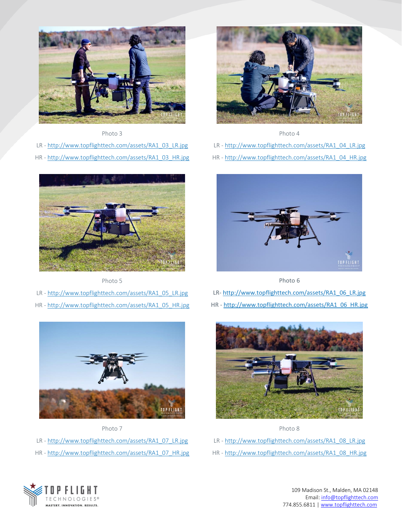

Photo 3

LR - [http://www.topflighttech.com/assets/RA1\\_03\\_LR.jpg](http://www.topflighttech.com/assets/RA1_03_LR.jpg) HR - [http://www.topflighttech.com/assets/RA1\\_03\\_HR.jpg](http://www.topflighttech.com/assets/RA1_03_HR.jpg)



Photo 5

- LR [http://www.topflighttech.com/assets/RA1\\_05\\_LR.jpg](http://www.topflighttech.com/assets/RA1_05_LR.jpg)
- HR [http://www.topflighttech.com/assets/RA1\\_05\\_HR.jpg](http://www.topflighttech.com/assets/RA1_05_HR.jpg)



Photo 7 LR - [http://www.topflighttech.com/assets/RA1\\_07\\_LR.jpg](http://www.topflighttech.com/assets/RA1_07_LR.jpg) HR - [http://www.topflighttech.com/assets/RA1\\_07\\_HR.jpg](http://www.topflighttech.com/assets/RA1_07_HR.jpg)



Photo 4

- LR [http://www.topflighttech.com/assets/RA1\\_04\\_LR.jpg](http://www.topflighttech.com/assets/RA1_04_LR.jpg)
- HR [http://www.topflighttech.com/assets/RA1\\_04\\_HR.jpg](http://www.topflighttech.com/assets/RA1_04_HR.jpg)



Photo 6

- LR- [http://www.topflighttech.com/assets/RA1\\_06\\_LR.jpg](http://www.topflighttech.com/assets/RA1_06_LR.jpg)
- HR [http://www.topflighttech.com/assets/RA1\\_06\\_HR.jpg](http://www.topflighttech.com/assets/RA1_06_HR.jpg)



Photo 8

- LR [http://www.topflighttech.com/assets/RA1\\_08\\_LR.jpg](http://www.topflighttech.com/assets/RA1_08_LR.jpg)
- HR [http://www.topflighttech.com/assets/RA1\\_08\\_HR.jpg](http://www.topflighttech.com/assets/RA1_08_HR.jpg)